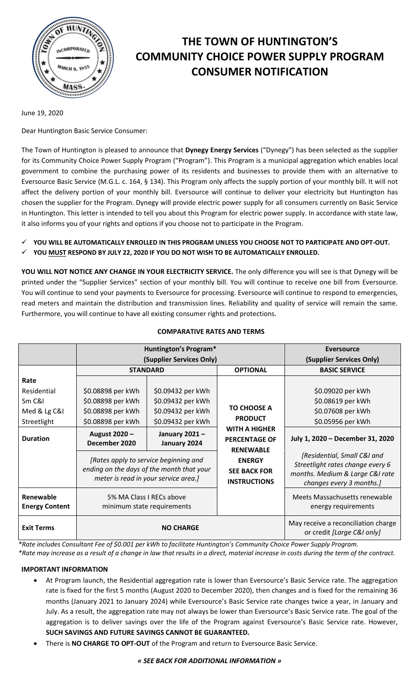

# **THE TOWN OF HUNTINGTON'S COMMUNITY CHOICE POWER SUPPLY PROGRAM CONSUMER NOTIFICATION**

June 19, 2020

Dear Huntington Basic Service Consumer:

The Town of Huntington is pleased to announce that **Dynegy Energy Services** ("Dynegy") has been selected as the supplier for its Community Choice Power Supply Program ("Program"). This Program is a municipal aggregation which enables local government to combine the purchasing power of its residents and businesses to provide them with an alternative to Eversource Basic Service (M.G.L. c. 164, § 134). This Program only affects the supply portion of your monthly bill. It will not affect the delivery portion of your monthly bill. Eversource will continue to deliver your electricity but Huntington has chosen the supplier for the Program. Dynegy will provide electric power supply for all consumers currently on Basic Service in Huntington. This letter is intended to tell you about this Program for electric power supply. In accordance with state law, it also informs you of your rights and options if you choose not to participate in the Program.

- **YOU WILL BE AUTOMATICALLY ENROLLED IN THIS PROGRAM UNLESS YOU CHOOSE NOT TO PARTICIPATE AND OPT-OUT.**
- **YOU MUST RESPOND BY JULY 22, 2020 IF YOU DO NOT WISH TO BE AUTOMATICALLY ENROLLED.**

**YOU WILL NOT NOTICE ANY CHANGE IN YOUR ELECTRICITY SERVICE.** The only difference you will see is that Dynegy will be printed under the "Supplier Services" section of your monthly bill. You will continue to receive one bill from Eversource. You will continue to send your payments to Eversource for processing. Eversource will continue to respond to emergencies, read meters and maintain the distribution and transmission lines. Reliability and quality of service will remain the same. Furthermore, you will continue to have all existing consumer rights and protections.

|                                    | <b>Huntington's Program*</b>                                                                                               |                               |                                                                  | Eversource                                                                                                                     |
|------------------------------------|----------------------------------------------------------------------------------------------------------------------------|-------------------------------|------------------------------------------------------------------|--------------------------------------------------------------------------------------------------------------------------------|
|                                    | (Supplier Services Only)                                                                                                   |                               |                                                                  | (Supplier Services Only)                                                                                                       |
|                                    | <b>STANDARD</b>                                                                                                            |                               | <b>OPTIONAL</b>                                                  | <b>BASIC SERVICE</b>                                                                                                           |
| Rate                               |                                                                                                                            |                               |                                                                  |                                                                                                                                |
| Residential                        | \$0.08898 per kWh                                                                                                          | \$0.09432 per kWh             |                                                                  | \$0.09020 per kWh                                                                                                              |
| Sm C&I                             | \$0.08898 per kWh                                                                                                          | \$0.09432 per kWh             | <b>TO CHOOSE A</b><br><b>PRODUCT</b>                             | \$0.08619 per kWh                                                                                                              |
| Med & Lg C&I                       | \$0.08898 per kWh                                                                                                          | \$0.09432 per kWh             |                                                                  | \$0.07608 per kWh                                                                                                              |
| Streetlight                        | \$0.08898 per kWh                                                                                                          | \$0.09432 per kWh             |                                                                  | \$0.05956 per kWh                                                                                                              |
| <b>Duration</b>                    | August 2020 -<br>December 2020                                                                                             | January 2021-<br>January 2024 | <b>WITH A HIGHER</b><br><b>PERCENTAGE OF</b><br><b>RENEWABLE</b> | July 1, 2020 - December 31, 2020                                                                                               |
|                                    | [Rates apply to service beginning and<br>ending on the days of the month that your<br>meter is read in your service area.] |                               | <b>ENERGY</b><br><b>SEE BACK FOR</b><br><b>INSTRUCTIONS</b>      | [Residential, Small C&I and<br>Streetlight rates change every 6<br>months. Medium & Large C&I rate<br>changes every 3 months.] |
| Renewable<br><b>Energy Content</b> | 5% MA Class I RECs above<br>minimum state requirements                                                                     |                               |                                                                  | Meets Massachusetts renewable<br>energy requirements                                                                           |
| <b>Exit Terms</b>                  | <b>NO CHARGE</b>                                                                                                           |                               |                                                                  | May receive a reconciliation charge<br>or credit [Large C&I only]                                                              |

## **COMPARATIVE RATES AND TERMS**

*\*Rate includes Consultant Fee of \$0.001 per kWh to facilitate Huntington's Community Choice Power Supply Program.*

*\*Rate may increase as a result of a change in law that results in a direct, material increase in costs during the term of the contract.*

## **IMPORTANT INFORMATION**

- At Program launch, the Residential aggregation rate is lower than Eversource's Basic Service rate. The aggregation rate is fixed for the first 5 months (August 2020 to December 2020), then changes and is fixed for the remaining 36 months (January 2021 to January 2024) while Eversource's Basic Service rate changes twice a year, in January and July. As a result, the aggregation rate may not always be lower than Eversource's Basic Service rate. The goal of the aggregation is to deliver savings over the life of the Program against Eversource's Basic Service rate. However, **SUCH SAVINGS AND FUTURE SAVINGS CANNOT BE GUARANTEED.**
- There is **NO CHARGE TO OPT-OUT** of the Program and return to Eversource Basic Service.